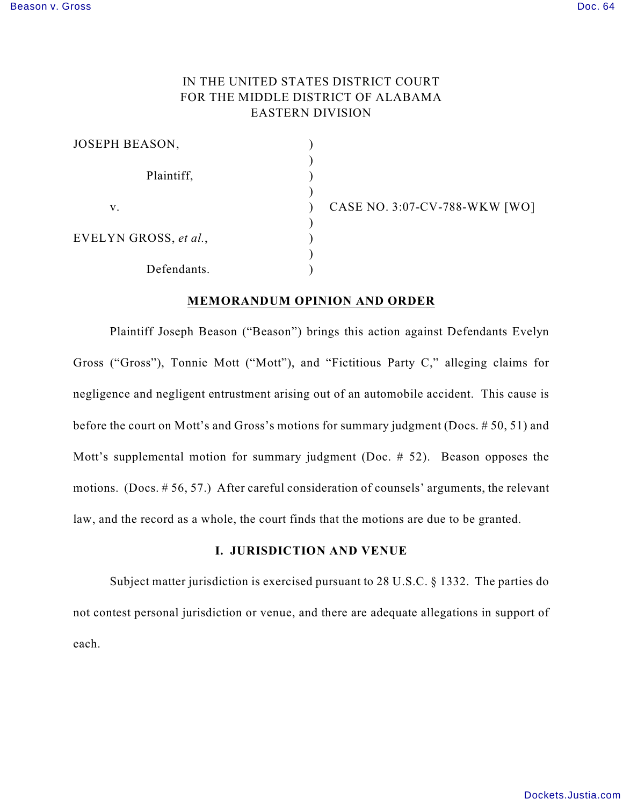# IN THE UNITED STATES DISTRICT COURT FOR THE MIDDLE DISTRICT OF ALABAMA EASTERN DIVISION

| JOSEPH BEASON,        |  |
|-----------------------|--|
| Plaintiff,            |  |
| v.                    |  |
| EVELYN GROSS, et al., |  |
| Defendants.           |  |

CASE NO. 3:07-CV-788-WKW [WO]

## **MEMORANDUM OPINION AND ORDER**

Plaintiff Joseph Beason ("Beason") brings this action against Defendants Evelyn Gross ("Gross"), Tonnie Mott ("Mott"), and "Fictitious Party C," alleging claims for negligence and negligent entrustment arising out of an automobile accident. This cause is before the court on Mott's and Gross's motions for summary judgment (Docs. # 50, 51) and Mott's supplemental motion for summary judgment (Doc. # 52). Beason opposes the motions. (Docs. # 56, 57.) After careful consideration of counsels' arguments, the relevant law, and the record as a whole, the court finds that the motions are due to be granted.

## **I. JURISDICTION AND VENUE**

Subject matter jurisdiction is exercised pursuant to 28 U.S.C. § 1332. The parties do not contest personal jurisdiction or venue, and there are adequate allegations in support of each.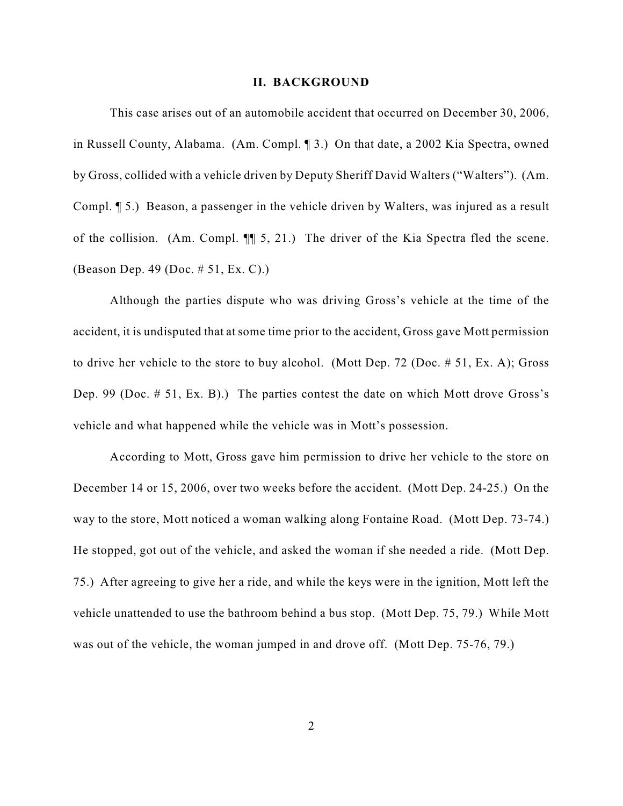#### **II. BACKGROUND**

This case arises out of an automobile accident that occurred on December 30, 2006, in Russell County, Alabama. (Am. Compl. ¶ 3.) On that date, a 2002 Kia Spectra, owned by Gross, collided with a vehicle driven by Deputy Sheriff David Walters ("Walters"). (Am. Compl. ¶ 5.) Beason, a passenger in the vehicle driven by Walters, was injured as a result of the collision. (Am. Compl. ¶¶ 5, 21.) The driver of the Kia Spectra fled the scene. (Beason Dep. 49 (Doc. # 51, Ex. C).)

Although the parties dispute who was driving Gross's vehicle at the time of the accident, it is undisputed that at some time prior to the accident, Gross gave Mott permission to drive her vehicle to the store to buy alcohol. (Mott Dep. 72 (Doc. # 51, Ex. A); Gross Dep. 99 (Doc. # 51, Ex. B).) The parties contest the date on which Mott drove Gross's vehicle and what happened while the vehicle was in Mott's possession.

According to Mott, Gross gave him permission to drive her vehicle to the store on December 14 or 15, 2006, over two weeks before the accident. (Mott Dep. 24-25.) On the way to the store, Mott noticed a woman walking along Fontaine Road. (Mott Dep. 73-74.) He stopped, got out of the vehicle, and asked the woman if she needed a ride. (Mott Dep. 75.) After agreeing to give her a ride, and while the keys were in the ignition, Mott left the vehicle unattended to use the bathroom behind a bus stop. (Mott Dep. 75, 79.) While Mott was out of the vehicle, the woman jumped in and drove off. (Mott Dep. 75-76, 79.)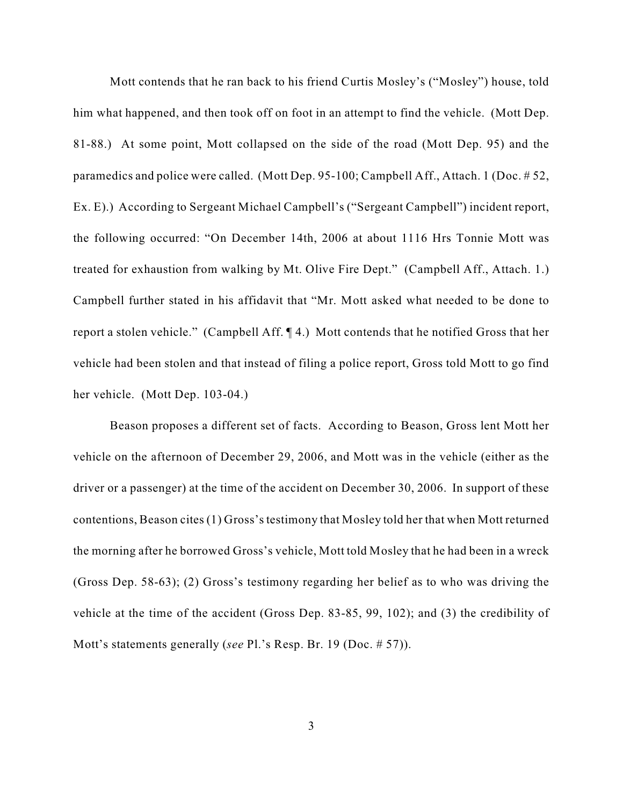Mott contends that he ran back to his friend Curtis Mosley's ("Mosley") house, told him what happened, and then took off on foot in an attempt to find the vehicle. (Mott Dep. 81-88.) At some point, Mott collapsed on the side of the road (Mott Dep. 95) and the paramedics and police were called. (Mott Dep. 95-100; Campbell Aff., Attach. 1 (Doc. # 52, Ex. E).) According to Sergeant Michael Campbell's ("Sergeant Campbell") incident report, the following occurred: "On December 14th, 2006 at about 1116 Hrs Tonnie Mott was treated for exhaustion from walking by Mt. Olive Fire Dept." (Campbell Aff., Attach. 1.) Campbell further stated in his affidavit that "Mr. Mott asked what needed to be done to report a stolen vehicle." (Campbell Aff. ¶ 4.) Mott contends that he notified Gross that her vehicle had been stolen and that instead of filing a police report, Gross told Mott to go find her vehicle. (Mott Dep. 103-04.)

Beason proposes a different set of facts. According to Beason, Gross lent Mott her vehicle on the afternoon of December 29, 2006, and Mott was in the vehicle (either as the driver or a passenger) at the time of the accident on December 30, 2006. In support of these contentions, Beason cites (1) Gross's testimony that Mosley told her that when Mott returned the morning after he borrowed Gross's vehicle, Mott told Mosley that he had been in a wreck (Gross Dep. 58-63); (2) Gross's testimony regarding her belief as to who was driving the vehicle at the time of the accident (Gross Dep. 83-85, 99, 102); and (3) the credibility of Mott's statements generally (*see* Pl.'s Resp. Br. 19 (Doc. # 57)).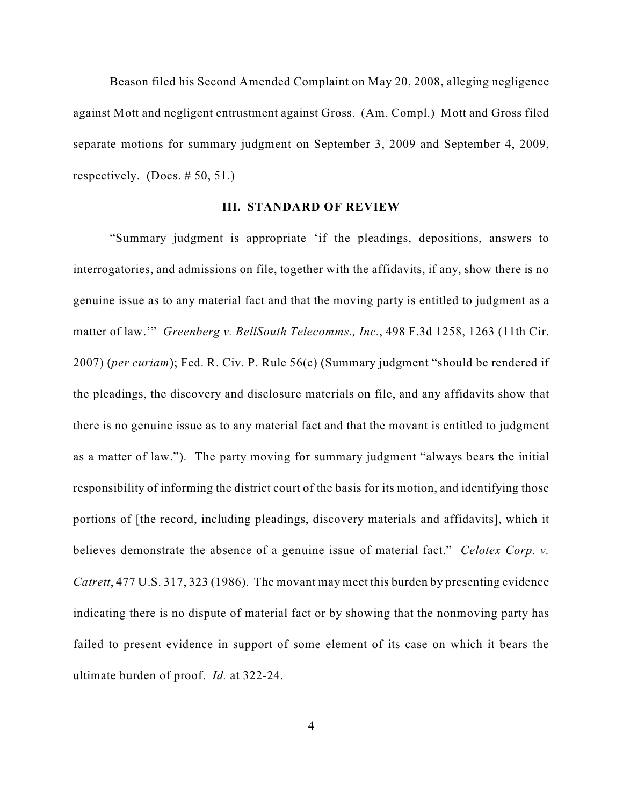Beason filed his Second Amended Complaint on May 20, 2008, alleging negligence against Mott and negligent entrustment against Gross. (Am. Compl.) Mott and Gross filed separate motions for summary judgment on September 3, 2009 and September 4, 2009, respectively. (Docs. # 50, 51.)

### **III. STANDARD OF REVIEW**

"Summary judgment is appropriate 'if the pleadings, depositions, answers to interrogatories, and admissions on file, together with the affidavits, if any, show there is no genuine issue as to any material fact and that the moving party is entitled to judgment as a matter of law.'" *Greenberg v. BellSouth Telecomms., Inc.*, 498 F.3d 1258, 1263 (11th Cir. 2007) (*per curiam*); Fed. R. Civ. P. Rule 56(c) (Summary judgment "should be rendered if the pleadings, the discovery and disclosure materials on file, and any affidavits show that there is no genuine issue as to any material fact and that the movant is entitled to judgment as a matter of law."). The party moving for summary judgment "always bears the initial responsibility of informing the district court of the basis for its motion, and identifying those portions of [the record, including pleadings, discovery materials and affidavits], which it believes demonstrate the absence of a genuine issue of material fact." *Celotex Corp. v. Catrett*, 477 U.S. 317, 323 (1986). The movant may meet this burden by presenting evidence indicating there is no dispute of material fact or by showing that the nonmoving party has failed to present evidence in support of some element of its case on which it bears the ultimate burden of proof. *Id.* at 322-24.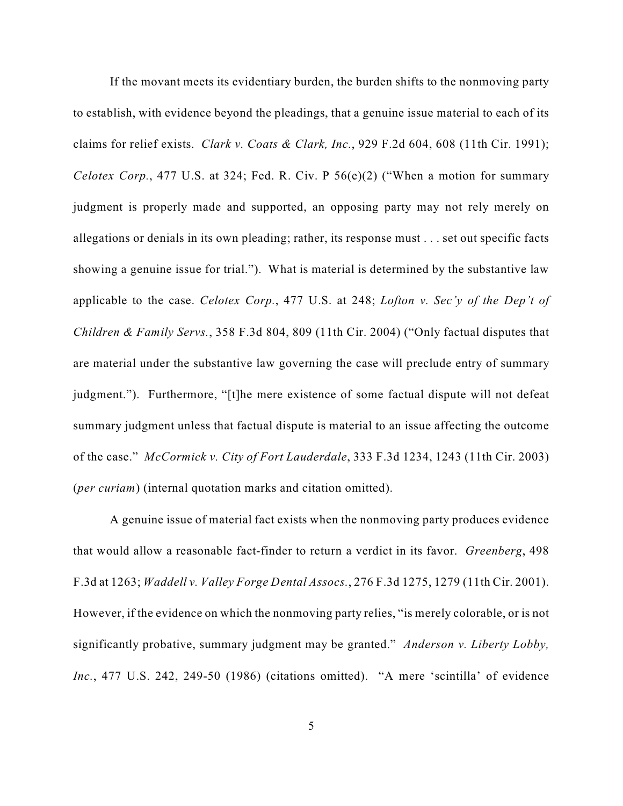If the movant meets its evidentiary burden, the burden shifts to the nonmoving party to establish, with evidence beyond the pleadings, that a genuine issue material to each of its claims for relief exists. *Clark v. Coats & Clark, Inc.*, 929 F.2d 604, 608 (11th Cir. 1991); *Celotex Corp.*, 477 U.S. at 324; Fed. R. Civ. P 56(e)(2) ("When a motion for summary judgment is properly made and supported, an opposing party may not rely merely on allegations or denials in its own pleading; rather, its response must . . . set out specific facts showing a genuine issue for trial."). What is material is determined by the substantive law applicable to the case. *Celotex Corp.*, 477 U.S. at 248; *Lofton v. Sec'y of the Dep't of Children & Family Servs.*, 358 F.3d 804, 809 (11th Cir. 2004) ("Only factual disputes that are material under the substantive law governing the case will preclude entry of summary judgment."). Furthermore, "[t]he mere existence of some factual dispute will not defeat summary judgment unless that factual dispute is material to an issue affecting the outcome of the case." *McCormick v. City of Fort Lauderdale*, 333 F.3d 1234, 1243 (11th Cir. 2003) (*per curiam*) (internal quotation marks and citation omitted).

A genuine issue of material fact exists when the nonmoving party produces evidence that would allow a reasonable fact-finder to return a verdict in its favor. *Greenberg*, 498 F.3d at 1263; *Waddell v. Valley Forge Dental Assocs.*, 276 F.3d 1275, 1279 (11th Cir. 2001). However, if the evidence on which the nonmoving party relies, "is merely colorable, or is not significantly probative, summary judgment may be granted." *Anderson v. Liberty Lobby, Inc.*, 477 U.S. 242, 249-50 (1986) (citations omitted). "A mere 'scintilla' of evidence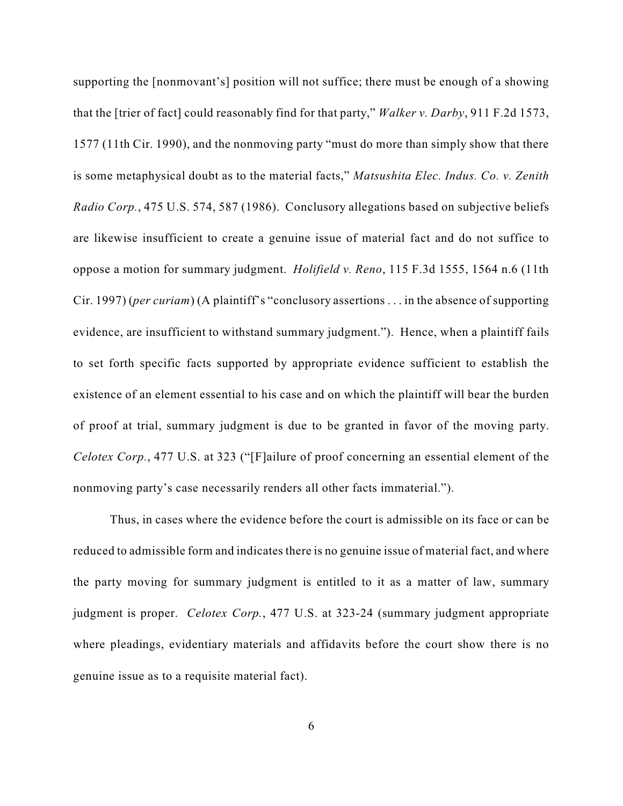supporting the [nonmovant's] position will not suffice; there must be enough of a showing that the [trier of fact] could reasonably find for that party," *Walker v. Darby*, 911 F.2d 1573, 1577 (11th Cir. 1990), and the nonmoving party "must do more than simply show that there is some metaphysical doubt as to the material facts," *Matsushita Elec. Indus. Co. v. Zenith Radio Corp.*, 475 U.S. 574, 587 (1986). Conclusory allegations based on subjective beliefs are likewise insufficient to create a genuine issue of material fact and do not suffice to oppose a motion for summary judgment. *Holifield v. Reno*, 115 F.3d 1555, 1564 n.6 (11th Cir. 1997) (*per curiam*) (A plaintiff's "conclusory assertions . . . in the absence of supporting evidence, are insufficient to withstand summary judgment."). Hence, when a plaintiff fails to set forth specific facts supported by appropriate evidence sufficient to establish the existence of an element essential to his case and on which the plaintiff will bear the burden of proof at trial, summary judgment is due to be granted in favor of the moving party. *Celotex Corp.*, 477 U.S. at 323 ("[F]ailure of proof concerning an essential element of the nonmoving party's case necessarily renders all other facts immaterial.").

Thus, in cases where the evidence before the court is admissible on its face or can be reduced to admissible form and indicates there is no genuine issue of material fact, and where the party moving for summary judgment is entitled to it as a matter of law, summary judgment is proper. *Celotex Corp.*, 477 U.S. at 323-24 (summary judgment appropriate where pleadings, evidentiary materials and affidavits before the court show there is no genuine issue as to a requisite material fact).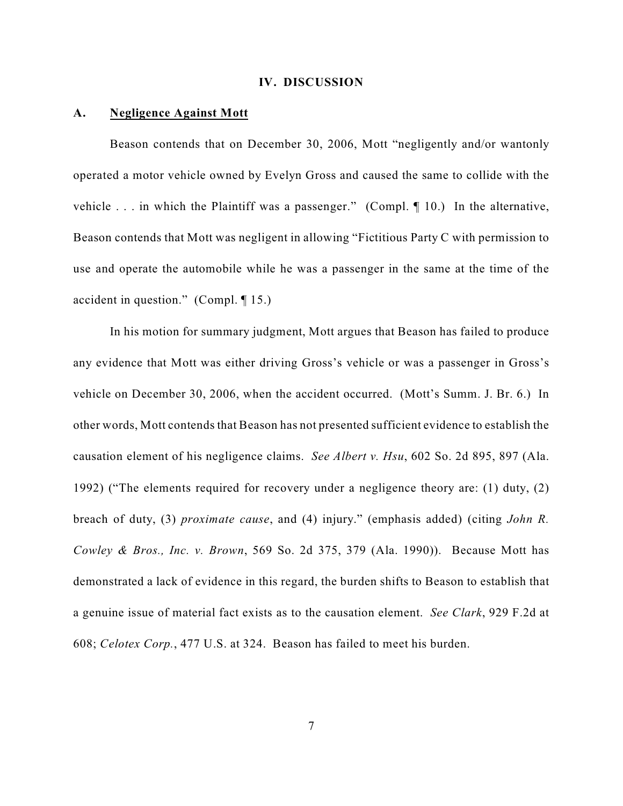#### **IV. DISCUSSION**

#### **A. Negligence Against Mott**

Beason contends that on December 30, 2006, Mott "negligently and/or wantonly operated a motor vehicle owned by Evelyn Gross and caused the same to collide with the vehicle . . . in which the Plaintiff was a passenger." (Compl. ¶ 10.) In the alternative, Beason contends that Mott was negligent in allowing "Fictitious Party C with permission to use and operate the automobile while he was a passenger in the same at the time of the accident in question." (Compl. ¶ 15.)

In his motion for summary judgment, Mott argues that Beason has failed to produce any evidence that Mott was either driving Gross's vehicle or was a passenger in Gross's vehicle on December 30, 2006, when the accident occurred. (Mott's Summ. J. Br. 6.) In other words, Mott contends that Beason has not presented sufficient evidence to establish the causation element of his negligence claims. *See Albert v. Hsu*, 602 So. 2d 895, 897 (Ala. 1992) ("The elements required for recovery under a negligence theory are: (1) duty, (2) breach of duty, (3) *proximate cause*, and (4) injury." (emphasis added) (citing *John R. Cowley & Bros., Inc. v. Brown*, 569 So. 2d 375, 379 (Ala. 1990)). Because Mott has demonstrated a lack of evidence in this regard, the burden shifts to Beason to establish that a genuine issue of material fact exists as to the causation element. *See Clark*, 929 F.2d at 608; *Celotex Corp.*, 477 U.S. at 324. Beason has failed to meet his burden.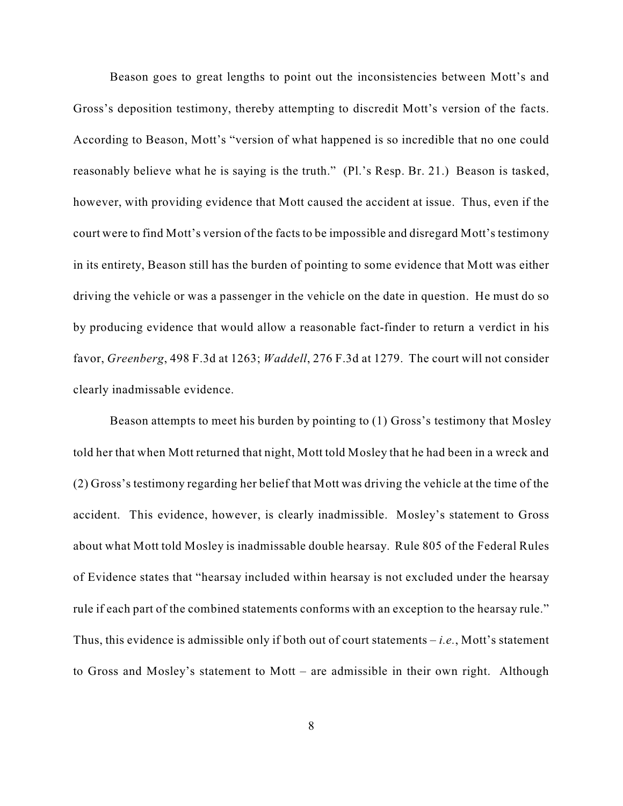Beason goes to great lengths to point out the inconsistencies between Mott's and Gross's deposition testimony, thereby attempting to discredit Mott's version of the facts. According to Beason, Mott's "version of what happened is so incredible that no one could reasonably believe what he is saying is the truth." (Pl.'s Resp. Br. 21.) Beason is tasked, however, with providing evidence that Mott caused the accident at issue. Thus, even if the court were to find Mott's version of the facts to be impossible and disregard Mott's testimony in its entirety, Beason still has the burden of pointing to some evidence that Mott was either driving the vehicle or was a passenger in the vehicle on the date in question. He must do so by producing evidence that would allow a reasonable fact-finder to return a verdict in his favor, *Greenberg*, 498 F.3d at 1263; *Waddell*, 276 F.3d at 1279. The court will not consider clearly inadmissable evidence.

Beason attempts to meet his burden by pointing to (1) Gross's testimony that Mosley told her that when Mott returned that night, Mott told Mosley that he had been in a wreck and (2) Gross's testimony regarding her belief that Mott was driving the vehicle at the time of the accident. This evidence, however, is clearly inadmissible. Mosley's statement to Gross about what Mott told Mosley is inadmissable double hearsay. Rule 805 of the Federal Rules of Evidence states that "hearsay included within hearsay is not excluded under the hearsay rule if each part of the combined statements conforms with an exception to the hearsay rule." Thus, this evidence is admissible only if both out of court statements – *i.e.*, Mott's statement to Gross and Mosley's statement to Mott – are admissible in their own right. Although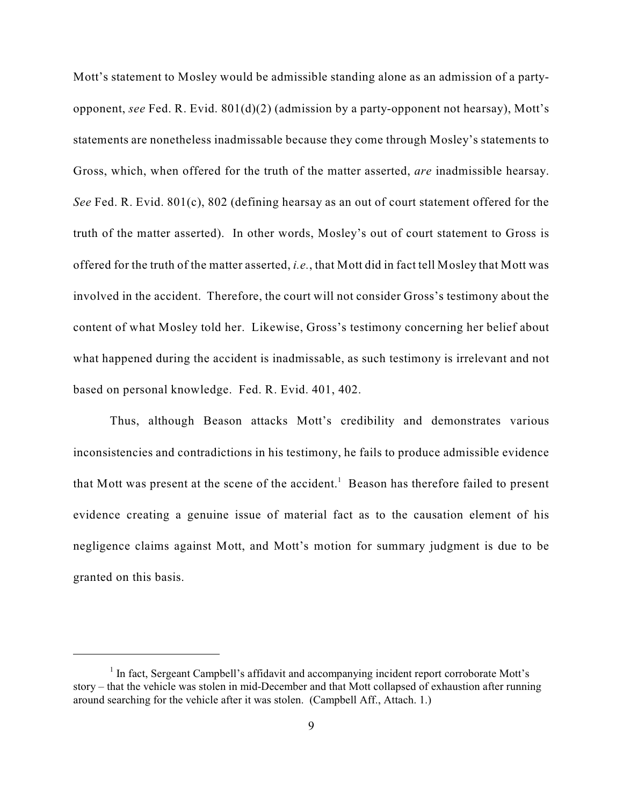Mott's statement to Mosley would be admissible standing alone as an admission of a partyopponent, *see* Fed. R. Evid. 801(d)(2) (admission by a party-opponent not hearsay), Mott's statements are nonetheless inadmissable because they come through Mosley's statements to Gross, which, when offered for the truth of the matter asserted, *are* inadmissible hearsay. *See* Fed. R. Evid. 801(c), 802 (defining hearsay as an out of court statement offered for the truth of the matter asserted). In other words, Mosley's out of court statement to Gross is offered for the truth of the matter asserted, *i.e.*, that Mott did in fact tell Mosley that Mott was involved in the accident. Therefore, the court will not consider Gross's testimony about the content of what Mosley told her. Likewise, Gross's testimony concerning her belief about what happened during the accident is inadmissable, as such testimony is irrelevant and not based on personal knowledge. Fed. R. Evid. 401, 402.

Thus, although Beason attacks Mott's credibility and demonstrates various inconsistencies and contradictions in his testimony, he fails to produce admissible evidence that Mott was present at the scene of the accident.<sup>1</sup> Beason has therefore failed to present evidence creating a genuine issue of material fact as to the causation element of his negligence claims against Mott, and Mott's motion for summary judgment is due to be granted on this basis.

<sup>&</sup>lt;sup>1</sup> In fact, Sergeant Campbell's affidavit and accompanying incident report corroborate Mott's story – that the vehicle was stolen in mid-December and that Mott collapsed of exhaustion after running around searching for the vehicle after it was stolen. (Campbell Aff., Attach. 1.)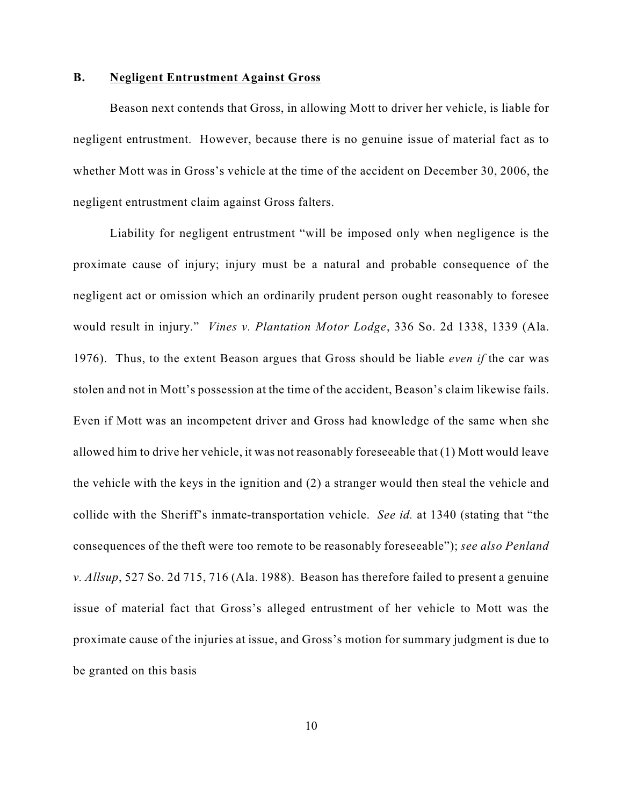### **B. Negligent Entrustment Against Gross**

Beason next contends that Gross, in allowing Mott to driver her vehicle, is liable for negligent entrustment. However, because there is no genuine issue of material fact as to whether Mott was in Gross's vehicle at the time of the accident on December 30, 2006, the negligent entrustment claim against Gross falters.

Liability for negligent entrustment "will be imposed only when negligence is the proximate cause of injury; injury must be a natural and probable consequence of the negligent act or omission which an ordinarily prudent person ought reasonably to foresee would result in injury." *Vines v. Plantation Motor Lodge*, 336 So. 2d 1338, 1339 (Ala. 1976). Thus, to the extent Beason argues that Gross should be liable *even if* the car was stolen and not in Mott's possession at the time of the accident, Beason's claim likewise fails. Even if Mott was an incompetent driver and Gross had knowledge of the same when she allowed him to drive her vehicle, it was not reasonably foreseeable that (1) Mott would leave the vehicle with the keys in the ignition and (2) a stranger would then steal the vehicle and collide with the Sheriff's inmate-transportation vehicle. *See id.* at 1340 (stating that "the consequences of the theft were too remote to be reasonably foreseeable"); *see also Penland v. Allsup*, 527 So. 2d 715, 716 (Ala. 1988). Beason has therefore failed to present a genuine issue of material fact that Gross's alleged entrustment of her vehicle to Mott was the proximate cause of the injuries at issue, and Gross's motion for summary judgment is due to be granted on this basis